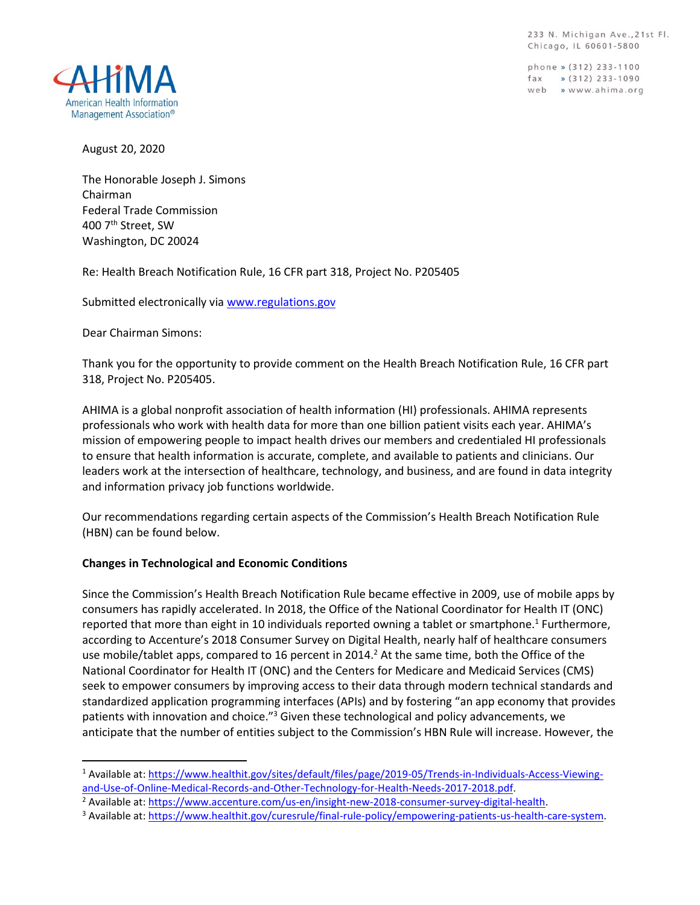233 N. Michigan Ave., 21st Fl. Chicago, IL 60601-5800

phone » (312) 233-1100  $\frac{1}{2}$  (312) 233-1090 web » www.ahima.org



August 20, 2020

The Honorable Joseph J. Simons Chairman Federal Trade Commission 400 7th Street, SW Washington, DC 20024

Re: Health Breach Notification Rule, 16 CFR part 318, Project No. P205405

Submitted electronically via [www.regulations.gov](http://www.regulations.gov/)

Dear Chairman Simons:

Thank you for the opportunity to provide comment on the Health Breach Notification Rule, 16 CFR part 318, Project No. P205405.

AHIMA is a global nonprofit association of health information (HI) professionals. AHIMA represents professionals who work with health data for more than one billion patient visits each year. AHIMA's mission of empowering people to impact health drives our members and credentialed HI professionals to ensure that health information is accurate, complete, and available to patients and clinicians. Our leaders work at the intersection of healthcare, technology, and business, and are found in data integrity and information privacy job functions worldwide.

Our recommendations regarding certain aspects of the Commission's Health Breach Notification Rule (HBN) can be found below.

## **Changes in Technological and Economic Conditions**

Since the Commission's Health Breach Notification Rule became effective in 2009, use of mobile apps by consumers has rapidly accelerated. In 2018, the Office of the National Coordinator for Health IT (ONC) reported that more than eight in 10 individuals reported owning a tablet or smartphone.<sup>1</sup> Furthermore, according to Accenture's 2018 Consumer Survey on Digital Health, nearly half of healthcare consumers use mobile/tablet apps, compared to 16 percent in 2014.<sup>2</sup> At the same time, both the Office of the National Coordinator for Health IT (ONC) and the Centers for Medicare and Medicaid Services (CMS) seek to empower consumers by improving access to their data through modern technical standards and standardized application programming interfaces (APIs) and by fostering "an app economy that provides patients with innovation and choice."<sup>3</sup> Given these technological and policy advancements, we anticipate that the number of entities subject to the Commission's HBN Rule will increase. However, the

<sup>1</sup> Available at: [https://www.healthit.gov/sites/default/files/page/2019-05/Trends-in-Individuals-Access-Viewing](https://www.healthit.gov/sites/default/files/page/2019-05/Trends-in-Individuals-Access-Viewing-and-Use-of-Online-Medical-Records-and-Other-Technology-for-Health-Needs-2017-2018.pdf)[and-Use-of-Online-Medical-Records-and-Other-Technology-for-Health-Needs-2017-2018.pdf.](https://www.healthit.gov/sites/default/files/page/2019-05/Trends-in-Individuals-Access-Viewing-and-Use-of-Online-Medical-Records-and-Other-Technology-for-Health-Needs-2017-2018.pdf)

<sup>&</sup>lt;sup>2</sup> Available at: [https://www.accenture.com/us-en/insight-new-2018-consumer-survey-digital-health.](https://www.accenture.com/us-en/insight-new-2018-consumer-survey-digital-health)

<sup>3</sup> Available at: [https://www.healthit.gov/curesrule/final-rule-policy/empowering-patients-us-health-care-system.](https://www.healthit.gov/curesrule/final-rule-policy/empowering-patients-us-health-care-system)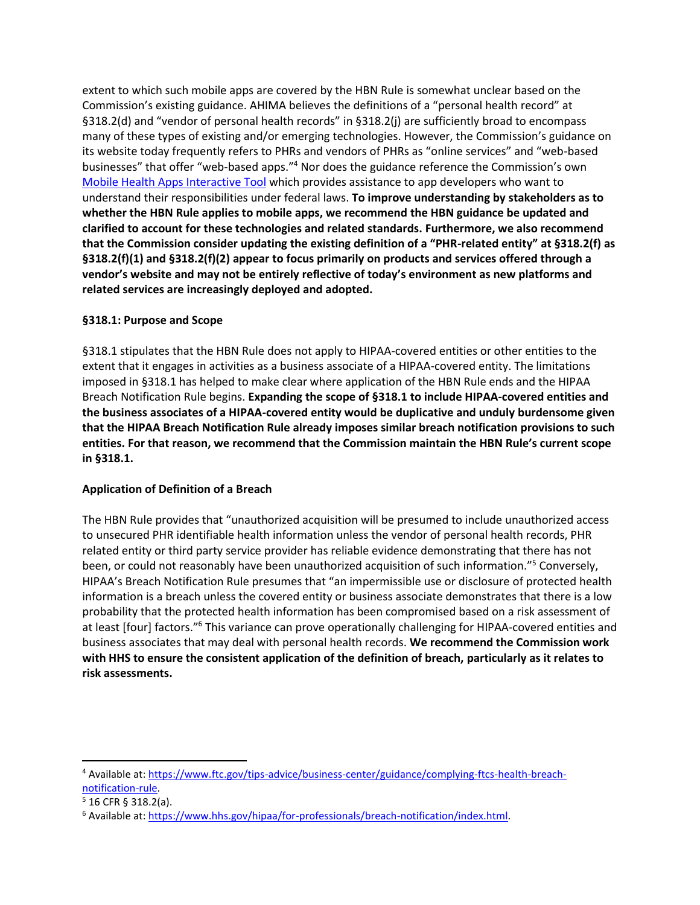extent to which such mobile apps are covered by the HBN Rule is somewhat unclear based on the Commission's existing guidance. AHIMA believes the definitions of a "personal health record" at §318.2(d) and "vendor of personal health records" in §318.2(j) are sufficiently broad to encompass many of these types of existing and/or emerging technologies. However, the Commission's guidance on its website today frequently refers to PHRs and vendors of PHRs as "online services" and "web-based businesses" that offer "web-based apps."<sup>4</sup> Nor does the guidance reference the Commission's own [Mobile Health Apps Interactive Tool](https://www.ftc.gov/tips-advice/business-center/guidance/mobile-health-apps-interactive-tool) which provides assistance to app developers who want to understand their responsibilities under federal laws. **To improve understanding by stakeholders as to whether the HBN Rule applies to mobile apps, we recommend the HBN guidance be updated and clarified to account for these technologies and related standards. Furthermore, we also recommend that the Commission consider updating the existing definition of a "PHR-related entity" at §318.2(f) as §318.2(f)(1) and §318.2(f)(2) appear to focus primarily on products and services offered through a vendor's website and may not be entirely reflective of today's environment as new platforms and related services are increasingly deployed and adopted.**

## **§318.1: Purpose and Scope**

§318.1 stipulates that the HBN Rule does not apply to HIPAA-covered entities or other entities to the extent that it engages in activities as a business associate of a HIPAA-covered entity. The limitations imposed in §318.1 has helped to make clear where application of the HBN Rule ends and the HIPAA Breach Notification Rule begins. **Expanding the scope of §318.1 to include HIPAA-covered entities and the business associates of a HIPAA-covered entity would be duplicative and unduly burdensome given that the HIPAA Breach Notification Rule already imposes similar breach notification provisions to such entities. For that reason, we recommend that the Commission maintain the HBN Rule's current scope in §318.1.** 

## **Application of Definition of a Breach**

The HBN Rule provides that "unauthorized acquisition will be presumed to include unauthorized access to unsecured PHR identifiable health information unless the vendor of personal health records, PHR related entity or third party service provider has reliable evidence demonstrating that there has not been, or could not reasonably have been unauthorized acquisition of such information."<sup>5</sup> Conversely, HIPAA's Breach Notification Rule presumes that "an impermissible use or disclosure of protected health information is a breach unless the covered entity or business associate demonstrates that there is a low probability that the protected health information has been compromised based on a risk assessment of at least [four] factors."<sup>6</sup> This variance can prove operationally challenging for HIPAA-covered entities and business associates that may deal with personal health records. **We recommend the Commission work with HHS to ensure the consistent application of the definition of breach, particularly as it relates to risk assessments.** 

<sup>4</sup> Available at: [https://www.ftc.gov/tips-advice/business-center/guidance/complying-ftcs-health-breach](https://www.ftc.gov/tips-advice/business-center/guidance/complying-ftcs-health-breach-notification-rule)[notification-rule.](https://www.ftc.gov/tips-advice/business-center/guidance/complying-ftcs-health-breach-notification-rule)

 $5$  16 CFR § 318.2(a).

<sup>6</sup> Available at: [https://www.hhs.gov/hipaa/for-professionals/breach-notification/index.html.](https://www.hhs.gov/hipaa/for-professionals/breach-notification/index.html)